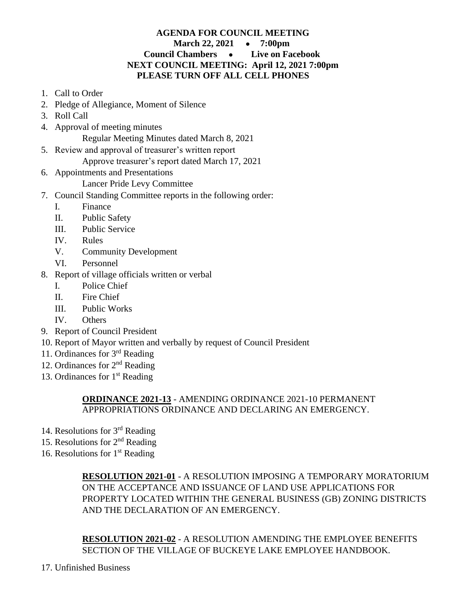## **AGENDA FOR COUNCIL MEETING March 22, 2021** ● **7:00pm Council Chambers** ● **Live on Facebook NEXT COUNCIL MEETING: April 12, 2021 7:00pm PLEASE TURN OFF ALL CELL PHONES**

- 1. Call to Order
- 2. Pledge of Allegiance, Moment of Silence
- 3. Roll Call
- 4. Approval of meeting minutes

Regular Meeting Minutes dated March 8, 2021

- 5. Review and approval of treasurer's written report
	- Approve treasurer's report dated March 17, 2021
- 6. Appointments and Presentations
	- Lancer Pride Levy Committee
- 7. Council Standing Committee reports in the following order:
	- I. Finance
	- II. Public Safety
	- III. Public Service
	- IV. Rules
	- V. Community Development
	- VI. Personnel
- 8. Report of village officials written or verbal
	- I. Police Chief
	- II. Fire Chief
	- III. Public Works
	- IV. Others
- 9. Report of Council President
- 10. Report of Mayor written and verbally by request of Council President
- 11. Ordinances for 3rd Reading
- 12. Ordinances for 2nd Reading
- 13. Ordinances for  $1<sup>st</sup>$  Reading

## **ORDINANCE 2021-13** - AMENDING ORDINANCE 2021-10 PERMANENT APPROPRIATIONS ORDINANCE AND DECLARING AN EMERGENCY.

- 14. Resolutions for  $3<sup>rd</sup>$  Reading
- 15. Resolutions for  $2<sup>nd</sup>$  Reading
- 16. Resolutions for  $1<sup>st</sup>$  Reading

**RESOLUTION 2021-01** - A RESOLUTION IMPOSING A TEMPORARY MORATORIUM ON THE ACCEPTANCE AND ISSUANCE OF LAND USE APPLICATIONS FOR PROPERTY LOCATED WITHIN THE GENERAL BUSINESS (GB) ZONING DISTRICTS AND THE DECLARATION OF AN EMERGENCY.

**RESOLUTION 2021-02** - A RESOLUTION AMENDING THE EMPLOYEE BENEFITS SECTION OF THE VILLAGE OF BUCKEYE LAKE EMPLOYEE HANDBOOK.

17. Unfinished Business